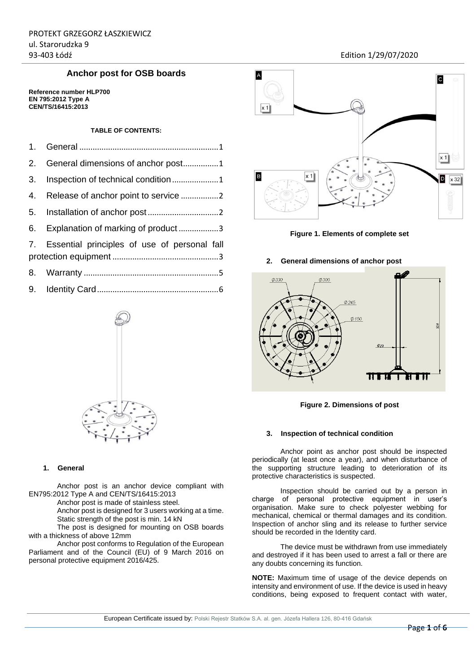## **Anchor post for OSB boards**

**Reference number HLP700 EN 795:2012 Type A CEN/TS/16415:2013** 

## **TABLE OF CONTENTS:**

| 2. General dimensions of anchor post1           |
|-------------------------------------------------|
|                                                 |
|                                                 |
|                                                 |
| 6. Explanation of marking of product3           |
| 7. Essential principles of use of personal fall |
|                                                 |
|                                                 |



## <span id="page-0-0"></span>**1. General**

Anchor post is an anchor device compliant with EN795:2012 Type A and CEN/TS/16415:2013

Anchor post is made of stainless steel.

Anchor post is designed for 3 users working at a time. Static strength of the post is min. 14 kN

The post is designed for mounting on OSB boards with a thickness of above 12mm

Anchor post conforms to Regulation of the European Parliament and of the Council (EU) of 9 March 2016 on personal protective equipment 2016/425.



**Figure 1. Elements of complete set** 

### <span id="page-0-1"></span>**2. General dimensions of anchor post**



**Figure 2. Dimensions of post** 

#### <span id="page-0-2"></span>**3. Inspection of technical condition**

Anchor point as anchor post should be inspected periodically (at least once a year), and when disturbance of the supporting structure leading to deterioration of its protective characteristics is suspected.

Inspection should be carried out by a person in charge of personal protective equipment in user's organisation. Make sure to check polyester webbing for mechanical, chemical or thermal damages and its condition. Inspection of anchor sling and its release to further service should be recorded in the Identity card.

The device must be withdrawn from use immediately and destroyed if it has been used to arrest a fall or there are any doubts concerning its function.

**NOTE:** Maximum time of usage of the device depends on intensity and environment of use. If the device is used in heavy conditions, being exposed to frequent contact with water,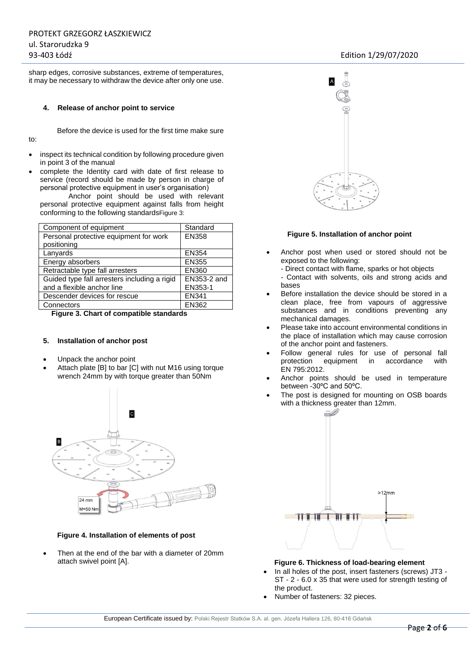to:

sharp edges, corrosive substances, extreme of temperatures, it may be necessary to withdraw the device after only one use.

#### <span id="page-1-0"></span>**4. Release of anchor point to service**

Before the device is used for the first time make sure

- inspect its technical condition by following procedure given in point 3 of the manual
- complete the Identity card with date of first release to service (record should be made by person in charge of personal protective equipment in user's organisation)

Anchor point should be used with relevant personal protective equipment against falls from height conforming to the following standards[Figure 3:](#page-1-2)

| Component of equipment                       | Standard     |
|----------------------------------------------|--------------|
| Personal protective equipment for work       | <b>EN358</b> |
| positioning                                  |              |
| Lanyards                                     | <b>EN354</b> |
| Energy absorbers                             | <b>EN355</b> |
| Retractable type fall arresters              | <b>EN360</b> |
| Guided type fall arresters including a rigid | EN353-2 and  |
| and a flexible anchor line                   | EN353-1      |
| Descender devices for rescue                 | <b>EN341</b> |
| Connectors                                   | EN362        |

<span id="page-1-2"></span>**Figure 3. Chart of compatible standards** 

#### <span id="page-1-1"></span>**5. Installation of anchor post**

- Unpack the anchor point
- Attach plate [B] to bar [C] with nut M16 using torque wrench 24mm by with torque greater than 50Nm



#### **Figure 4. Installation of elements of post**

 Then at the end of the bar with a diameter of 20mm attach swivel point [A].



#### **Figure 5. Installation of anchor point**

- Anchor post when used or stored should not be exposed to the following:
	- Direct contact with flame, sparks or hot objects
	- Contact with solvents, oils and strong acids and bases
- Before installation the device should be stored in a clean place, free from vapours of aggressive substances and in conditions preventing any mechanical damages.
- Please take into account environmental conditions in the place of installation which may cause corrosion of the anchor point and fasteners.
- Follow general rules for use of personal fall<br>protection equipment in accordance with equipment in accordance with EN 795:2012.
- Anchor points should be used in temperature between -30ºC and 50ºC.
- The post is designed for mounting on OSB boards with a thickness greater than 12mm.



#### **Figure 6. Thickness of load-bearing element**

- In all holes of the post, insert fasteners (screws) JT3 ST - 2 - 6.0 x 35 that were used for strength testing of the product.
- Number of fasteners: 32 pieces.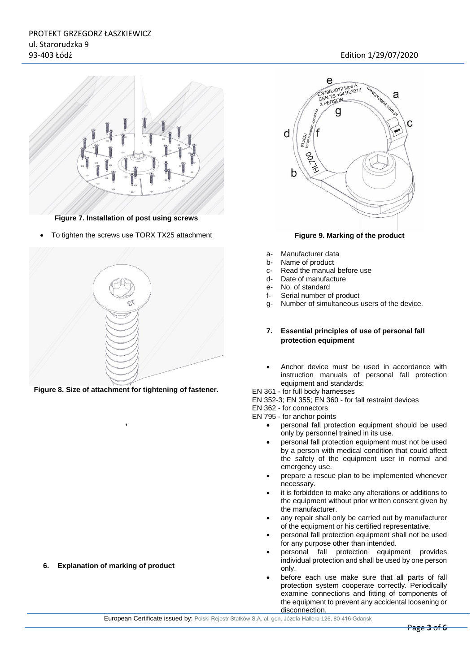

**Figure 7. Installation of post using screws**

To tighten the screws use TORX TX25 attachment



**Figure 8. Size of attachment for tightening of fastener.** 

**,**



#### **Figure 9. Marking of the product**

- a- Manufacturer data
- b- Name of product
- c- Read the manual before use
- d- Date of manufacture
- e- No. of standard
- f- Serial number of product
- <span id="page-2-1"></span>g- Number of simultaneous users of the device.
- **7. Essential principles of use of personal fall protection equipment**
- Anchor device must be used in accordance with instruction manuals of personal fall protection equipment and standards:

EN 361 - for full body harnesses

EN 352-3; EN 355; EN 360 - for fall restraint devices

EN 362 - for connectors

- EN 795 for anchor points
	- personal fall protection equipment should be used only by personnel trained in its use.
	- personal fall protection equipment must not be used by a person with medical condition that could affect the safety of the equipment user in normal and emergency use.
	- prepare a rescue plan to be implemented whenever necessary.
	- it is forbidden to make any alterations or additions to the equipment without prior written consent given by the manufacturer.
	- any repair shall only be carried out by manufacturer of the equipment or his certified representative.
	- personal fall protection equipment shall not be used for any purpose other than intended.
	- personal fall protection equipment provides individual protection and shall be used by one person only.
	- before each use make sure that all parts of fall protection system cooperate correctly. Periodically examine connections and fitting of components of the equipment to prevent any accidental loosening or disconnection.

<span id="page-2-0"></span>**6. Explanation of marking of product**

European Certificate issued by: Polski Rejestr Statków S.A. al. gen. Józefa Hallera 126, 80-416 Gdańsk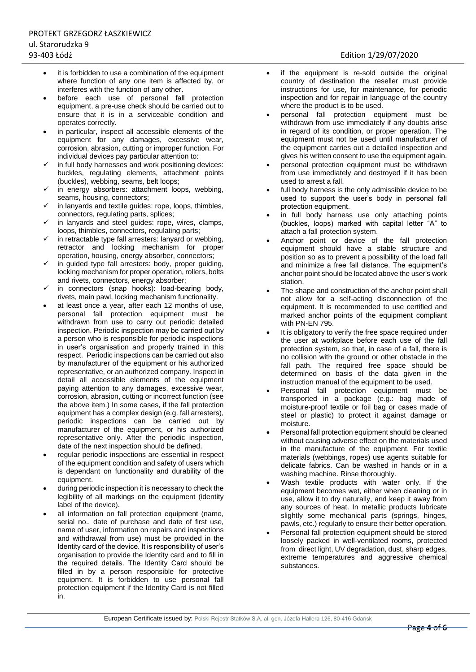- it is forbidden to use a combination of the equipment where function of any one item is affected by, or interferes with the function of any other.
- before each use of personal fall protection equipment, a pre-use check should be carried out to ensure that it is in a serviceable condition and operates correctly.
- in particular, inspect all accessible elements of the equipment for any damages, excessive wear, corrosion, abrasion, cutting or improper function. For individual devices pay particular attention to:
- in full body harnesses and work positioning devices: buckles, regulating elements, attachment points (buckles), webbing, seams, belt loops;
- in energy absorbers: attachment loops, webbing, seams, housing, connectors;
- in lanyards and textile guides: rope, loops, thimbles, connectors, regulating parts, splices;
- in lanyards and steel guides: rope, wires, clamps, loops, thimbles, connectors, regulating parts;
- in retractable type fall arresters: lanyard or webbing, retractor and locking mechanism for proper operation, housing, energy absorber, connectors;
- $\checkmark$  in guided type fall arresters: body, proper guiding, locking mechanism for proper operation, rollers, bolts and rivets, connectors, energy absorber;
- in connectors (snap hooks): load-bearing body, rivets, main pawl, locking mechanism functionality.
- at least once a year, after each 12 months of use, personal fall protection equipment must be withdrawn from use to carry out periodic detailed inspection. Periodic inspection may be carried out by a person who is responsible for periodic inspections in user's organisation and properly trained in this respect. Periodic inspections can be carried out also by manufacturer of the equipment or his authorized representative, or an authorized company. Inspect in detail all accessible elements of the equipment paying attention to any damages, excessive wear, corrosion, abrasion, cutting or incorrect function (see the above item.) In some cases, if the fall protection equipment has a complex design (e.g. fall arresters), periodic inspections can be carried out by manufacturer of the equipment, or his authorized representative only. After the periodic inspection, date of the next inspection should be defined.
- regular periodic inspections are essential in respect of the equipment condition and safety of users which is dependant on functionality and durability of the equipment.
- during periodic inspection it is necessary to check the legibility of all markings on the equipment (identity label of the device).
- all information on fall protection equipment (name, serial no., date of purchase and date of first use, name of user, information on repairs and inspections and withdrawal from use) must be provided in the Identity card of the device. It is responsibility of user's organisation to provide the Identity card and to fill in the required details. The Identity Card should be filled in by a person responsible for protective equipment. It is forbidden to use personal fall protection equipment if the Identity Card is not filled in.
- if the equipment is re-sold outside the original country of destination the reseller must provide instructions for use, for maintenance, for periodic inspection and for repair in language of the country where the product is to be used.
- personal fall protection equipment must be withdrawn from use immediately if any doubts arise in regard of its condition, or proper operation. The equipment must not be used until manufacturer of the equipment carries out a detailed inspection and gives his written consent to use the equipment again.
- personal protection equipment must be withdrawn from use immediately and destroyed if it has been used to arrest a fall.
- full body harness is the only admissible device to be used to support the user's body in personal fall protection equipment.
- in full body harness use only attaching points (buckles, loops) marked with capital letter "A" to attach a fall protection system.
- Anchor point or device of the fall protection equipment should have a stable structure and position so as to prevent a possibility of the load fall and minimize a free fall distance. The equipment's anchor point should be located above the user's work station.
- The shape and construction of the anchor point shall not allow for a self-acting disconnection of the equipment. It is recommended to use certified and marked anchor points of the equipment compliant with PN-EN 795.
- It is obligatory to verify the free space required under the user at workplace before each use of the fall protection system, so that, in case of a fall, there is no collision with the ground or other obstacle in the fall path. The required free space should be determined on basis of the data given in the instruction manual of the equipment to be used.
- Personal fall protection equipment must be transported in a package (e.g.: bag made of moisture-proof textile or foil bag or cases made of steel or plastic) to protect it against damage or moisture.
- Personal fall protection equipment should be cleaned without causing adverse effect on the materials used in the manufacture of the equipment. For textile materials (webbings, ropes) use agents suitable for delicate fabrics. Can be washed in hands or in a washing machine. Rinse thoroughly.
- Wash textile products with water only. If the equipment becomes wet, either when cleaning or in use, allow it to dry naturally, and keep it away from any sources of heat. In metallic products lubricate slightly some mechanical parts (springs, hinges, pawls, etc.) regularly to ensure their better operation.
- Personal fall protection equipment should be stored loosely packed in well-ventilated rooms, protected from direct light, UV degradation, dust, sharp edges, extreme temperatures and aggressive chemical substances.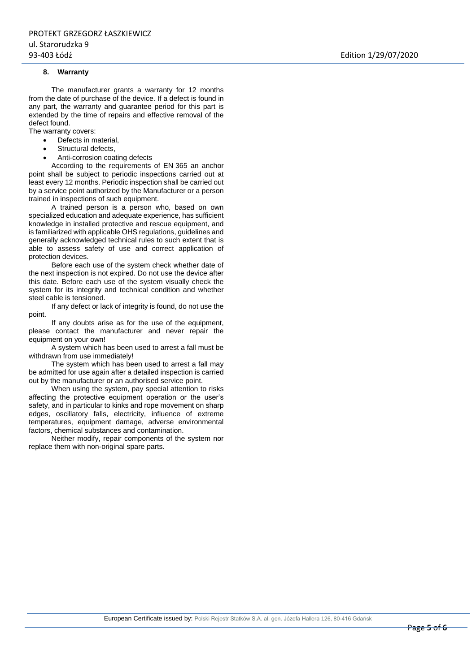#### <span id="page-4-0"></span>**8. Warranty**

The manufacturer grants a warranty for 12 months from the date of purchase of the device. If a defect is found in any part, the warranty and guarantee period for this part is extended by the time of repairs and effective removal of the defect found.

The warranty covers:

- Defects in material,
- Structural defects,
- Anti-corrosion coating defects

According to the requirements of EN 365 an anchor point shall be subject to periodic inspections carried out at least every 12 months. Periodic inspection shall be carried out by a service point authorized by the Manufacturer or a person trained in inspections of such equipment.

A trained person is a person who, based on own specialized education and adequate experience, has sufficient knowledge in installed protective and rescue equipment, and is familiarized with applicable OHS regulations, guidelines and generally acknowledged technical rules to such extent that is able to assess safety of use and correct application of protection devices.

Before each use of the system check whether date of the next inspection is not expired. Do not use the device after this date. Before each use of the system visually check the system for its integrity and technical condition and whether steel cable is tensioned.

If any defect or lack of integrity is found, do not use the point.

If any doubts arise as for the use of the equipment, please contact the manufacturer and never repair the equipment on your own!

A system which has been used to arrest a fall must be withdrawn from use immediately!

The system which has been used to arrest a fall may be admitted for use again after a detailed inspection is carried out by the manufacturer or an authorised service point.

When using the system, pay special attention to risks affecting the protective equipment operation or the user's safety, and in particular to kinks and rope movement on sharp edges, oscillatory falls, electricity, influence of extreme temperatures, equipment damage, adverse environmental factors, chemical substances and contamination.

Neither modify, repair components of the system nor replace them with non-original spare parts.